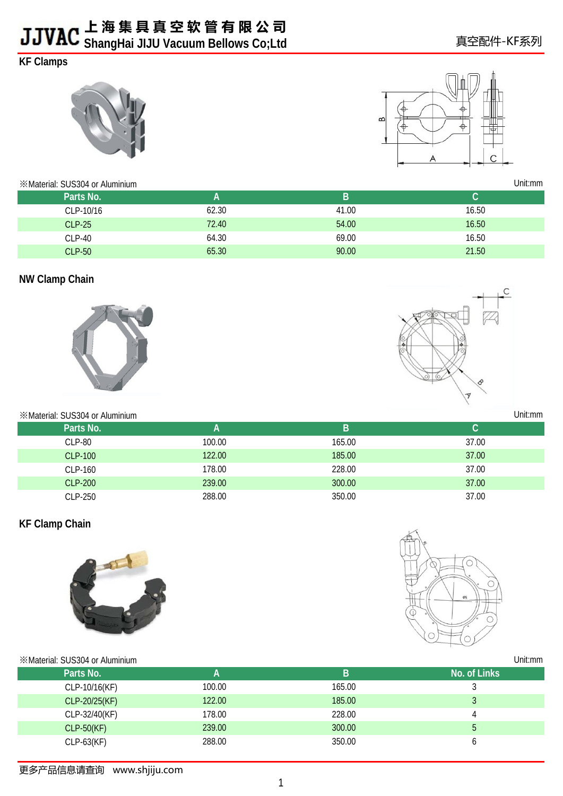# **KF Clamps**





Unit:mm

真空配件-KF系列

※Material: SUS304 or Aluminium

| Parts No.     | A     | B     |       |
|---------------|-------|-------|-------|
| CLP-10/16     | 62.30 | 41.00 | 16.50 |
| $CLP-25$      | 72.40 | 54.00 | 16.50 |
| $CLP-40$      | 64.30 | 69.00 | 16.50 |
| <b>CLP-50</b> | 65.30 | 90.00 | 21.50 |

#### **NW Clamp Chain**



# C  $\overline{\mathcal{V}}$

Unit:mm

Unit:mm

| *Material: SUS304 or Aluminium |        |        | Unit:mm |
|--------------------------------|--------|--------|---------|
| Parts No.                      | A      | B      |         |
| <b>CLP-80</b>                  | 100.00 | 165.00 | 37.00   |
| CLP-100                        | 122.00 | 185.00 | 37.00   |
| CLP-160                        | 178.00 | 228.00 | 37.00   |
| <b>CLP-200</b>                 | 239.00 | 300.00 | 37.00   |
| CLP-250                        | 288.00 | 350.00 | 37.00   |

#### **KF Clamp Chain**





#### ※Material: SUS304 or Aluminium

| Parts No.     | А      | B      | No. of Links |
|---------------|--------|--------|--------------|
| CLP-10/16(KF) | 100.00 | 165.00 |              |
| CLP-20/25(KF) | 122.00 | 185.00 |              |
| CLP-32/40(KF) | 178.00 | 228.00 |              |
| $CLP-50(KF)$  | 239.00 | 300.00 |              |
| $CLP-63(KF)$  | 288.00 | 350.00 |              |
|               |        |        |              |

更多产品信息请查询 www.shjiju.com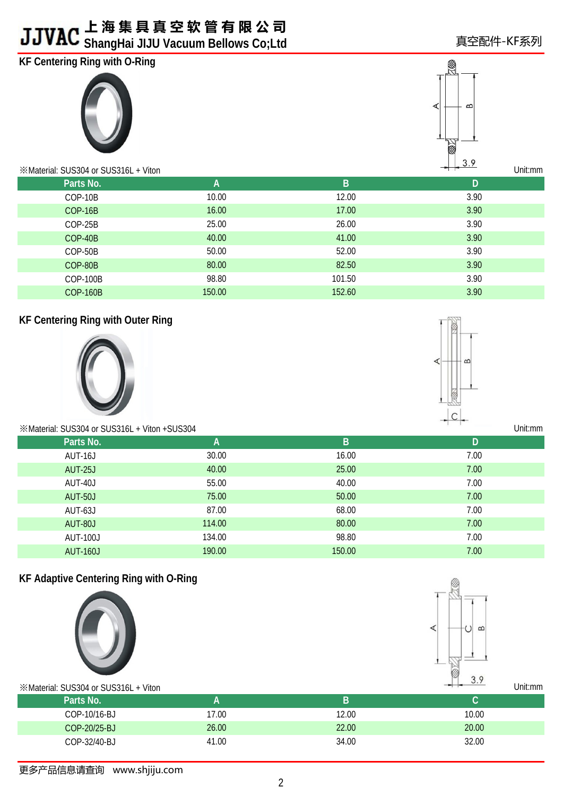# **上 海 集 具 真 空 软 管 有 限 公 司**

# **ShangHai JIJU Vacuum Bellows Co;Ltd**

# **KF Centering Ring with O-Ring**





Unit:mm

| Parts No.       | A      | B      | D    |
|-----------------|--------|--------|------|
| COP-10B         | 10.00  | 12.00  | 3.90 |
| COP-16B         | 16.00  | 17.00  | 3.90 |
| COP-25B         | 25.00  | 26.00  | 3.90 |
| COP-40B         | 40.00  | 41.00  | 3.90 |
| COP-50B         | 50.00  | 52.00  | 3.90 |
| COP-80B         | 80.00  | 82.50  | 3.90 |
| <b>COP-100B</b> | 98.80  | 101.50 | 3.90 |
| <b>COP-160B</b> | 150.00 | 152.60 | 3.90 |
|                 |        |        |      |

## **KF Centering Ring with Outer Ring**





| *Material: SUS304 or SUS316L + Viton + SUS304 |              |        | Unit:mm |
|-----------------------------------------------|--------------|--------|---------|
| Parts No.                                     | $\mathsf{A}$ | B      | D       |
| AUT-16J                                       | 30.00        | 16.00  | 7.00    |
| <b>AUT-25J</b>                                | 40.00        | 25.00  | 7.00    |
| AUT-40J                                       | 55.00        | 40.00  | 7.00    |
| <b>AUT-50J</b>                                | 75.00        | 50.00  | 7.00    |
| AUT-63J                                       | 87.00        | 68.00  | 7.00    |
| <b>AUT-80J</b>                                | 114.00       | 80.00  | 7.00    |
| <b>AUT-100J</b>                               | 134.00       | 98.80  | 7.00    |
| <b>AUT-160J</b>                               | 190.00       | 150.00 | 7.00    |
|                                               |              |        |         |

### **KF Adaptive Centering Ring with O-Ring**





Unit:mm

#### ※Material: SUS304 or SUS316L + Viton

| Parts No.    |       |       |       |
|--------------|-------|-------|-------|
| COP-10/16-BJ | 7.00  | 12.00 | 10.00 |
| COP-20/25-BJ | 26.00 | 22.00 | 20.00 |
| COP-32/40-BJ | 41.00 | 34.00 | 32.00 |
|              |       |       |       |

更多产品信息请查询 www.shjiju.com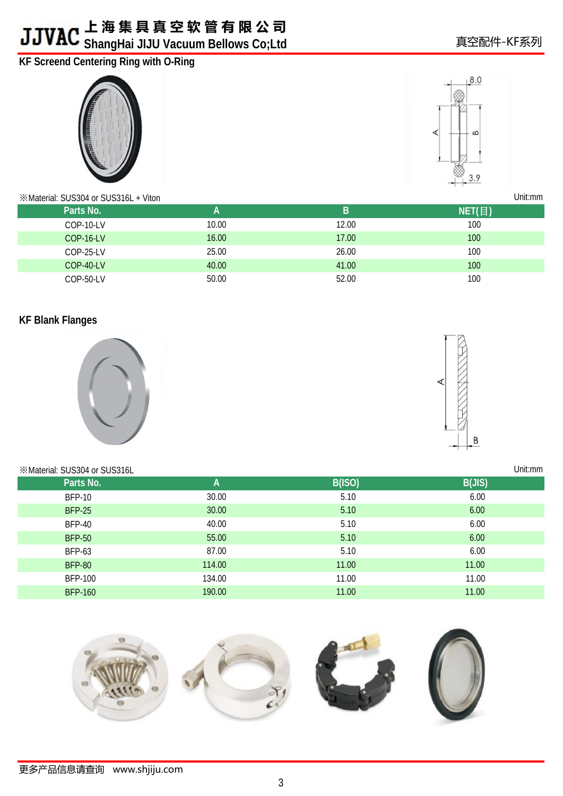# **KF Screend Centering Ring with O-Ring**





Unit:mm

#### ※Material: SUS304 or SUS316L + Viton

| Parts No.        | А     | B     | NET (日)          |
|------------------|-------|-------|------------------|
| COP-10-LV        | 10.00 | 12.00 | 100              |
| <b>COP-16-LV</b> | 16.00 | 17.00 | 100 <sub>1</sub> |
| COP-25-LV        | 25.00 | 26.00 | 100              |
| COP-40-LV        | 40.00 | 41.00 | 100              |
| COP-50-LV        | 50.00 | 52.00 | 100              |

### **KF Blank Flanges**



# $\overline{B}$

| <b>EXAMPLE SUS304 or SUS316L</b> |        |               | Unit:mm |
|----------------------------------|--------|---------------|---------|
| Parts No.                        | A      | <b>B(ISO)</b> | B(JIS)  |
| <b>BFP-10</b>                    | 30.00  | 5.10          | 6.00    |
| <b>BFP-25</b>                    | 30.00  | 5.10          | 6.00    |
| <b>BFP-40</b>                    | 40.00  | 5.10          | 6.00    |
| <b>BFP-50</b>                    | 55.00  | 5.10          | 6.00    |
| <b>BFP-63</b>                    | 87.00  | 5.10          | 6.00    |
| <b>BFP-80</b>                    | 114.00 | 11.00         | 11.00   |
| <b>BFP-100</b>                   | 134.00 | 11.00         | 11.00   |
| <b>BFP-160</b>                   | 190.00 | 11.00         | 11.00   |

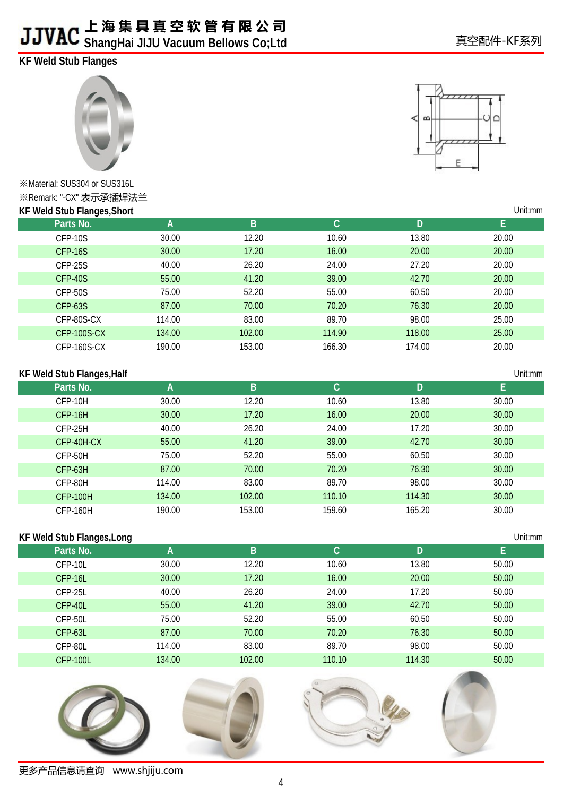# **KF Weld Stub Flanges**



※Material: SUS304 or SUS316L ※Remark: "-CX" 表示承插焊法兰 **KF Weld Stub Flanges,Short**



Unit:mm



| <b>KF Weld Stub Flanges, Short</b> |        |        |              |        | Unit:mm |
|------------------------------------|--------|--------|--------------|--------|---------|
| Parts No.                          | A      | B      | $\mathbf{C}$ | D      | E.      |
| CFP-10S                            | 30.00  | 12.20  | 10.60        | 13.80  | 20.00   |
| CFP-16S                            | 30.00  | 17.20  | 16.00        | 20.00  | 20.00   |
| CFP-25S                            | 40.00  | 26.20  | 24.00        | 27.20  | 20.00   |
| CFP-40S                            | 55.00  | 41.20  | 39.00        | 42.70  | 20.00   |
| CFP-50S                            | 75.00  | 52.20  | 55.00        | 60.50  | 20.00   |
| CFP-63S                            | 87.00  | 70.00  | 70.20        | 76.30  | 20.00   |
| CFP-80S-CX                         | 114.00 | 83.00  | 89.70        | 98.00  | 25.00   |
| CFP-100S-CX                        | 134.00 | 102.00 | 114.90       | 118.00 | 25.00   |
| CFP-160S-CX                        | 190.00 | 153.00 | 166.30       | 174.00 | 20.00   |

#### **KF Weld Stub Flanges,Half**

| <b>KF Weld Stub Flanges, Half</b> |        |        |        |        | Unit:mm |
|-----------------------------------|--------|--------|--------|--------|---------|
| Parts No.                         | A      | B      | С      | D      | E       |
| CFP-10H                           | 30.00  | 12.20  | 10.60  | 13.80  | 30.00   |
| CFP-16H                           | 30.00  | 17.20  | 16.00  | 20.00  | 30.00   |
| CFP-25H                           | 40.00  | 26.20  | 24.00  | 17.20  | 30.00   |
| CFP-40H-CX                        | 55.00  | 41.20  | 39.00  | 42.70  | 30.00   |
| CFP-50H                           | 75.00  | 52.20  | 55.00  | 60.50  | 30.00   |
| CFP-63H                           | 87.00  | 70.00  | 70.20  | 76.30  | 30.00   |
| CFP-80H                           | 114.00 | 83.00  | 89.70  | 98.00  | 30.00   |
| <b>CFP-100H</b>                   | 134.00 | 102.00 | 110.10 | 114.30 | 30.00   |
| <b>CFP-160H</b>                   | 190.00 | 153.00 | 159.60 | 165.20 | 30.00   |

#### **KF Weld Stub Flanges,Long**

| Parts No.       | . .<br>A | B      | С      | D      | н.    |
|-----------------|----------|--------|--------|--------|-------|
| CFP-10L         | 30.00    | 12.20  | 10.60  | 13.80  | 50.00 |
| $CFP-16L$       | 30.00    | 17.20  | 16.00  | 20.00  | 50.00 |
| CFP-25L         | 40.00    | 26.20  | 24.00  | 17.20  | 50.00 |
| CFP-40L         | 55.00    | 41.20  | 39.00  | 42.70  | 50.00 |
| CFP-50L         | 75.00    | 52.20  | 55.00  | 60.50  | 50.00 |
| CFP-63L         | 87.00    | 70.00  | 70.20  | 76.30  | 50.00 |
| CFP-80L         | 114.00   | 83.00  | 89.70  | 98.00  | 50.00 |
| <b>CFP-100L</b> | 134.00   | 102.00 | 110.10 | 114.30 | 50.00 |